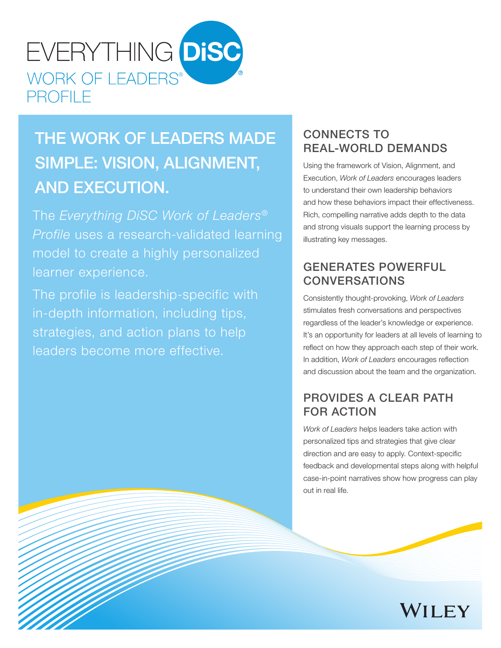

# THE WORK OF LEADERS MADE SIMPLE: VISION, ALIGNMENT, AND EXECUTION.

The *Everything DiSC Work of Leaders® Profile* uses a research-validated learning model to create a highly personalized learner experience.

The profile is leadership-specific with in-depth information, including tips, strategies, and action plans to help leaders become more effective.

## CONNECTS TO REAL-WORLD DEMANDS

Using the framework of Vision, Alignment, and Execution, *Work of Leaders* encourages leaders to understand their own leadership behaviors and how these behaviors impact their effectiveness. Rich, compelling narrative adds depth to the data and strong visuals support the learning process by illustrating key messages.

## GENERATES POWERFUL CONVERSATIONS

Consistently thought-provoking, *Work of Leaders* stimulates fresh conversations and perspectives regardless of the leader's knowledge or experience. It's an opportunity for leaders at all levels of learning to reflect on how they approach each step of their work. In addition, *Work of Leaders* encourages reflection and discussion about the team and the organization.

## PROVIDES A CLEAR PATH FOR ACTION

*Work of Leaders* helps leaders take action with personalized tips and strategies that give clear direction and are easy to apply. Context-specific feedback and developmental steps along with helpful case-in-point narratives show how progress can play out in real life.